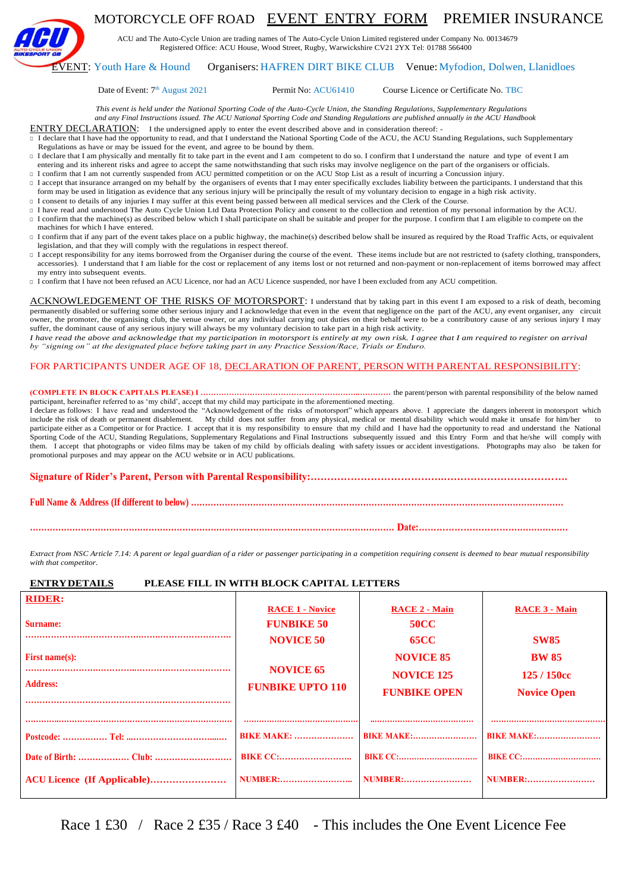

# MOTORCYCLE OFF ROAD EVENT ENTRY FORM PREMIER INSURANCE

ACU and The Auto-Cycle Union are trading names of The Auto-Cycle Union Limited registered under Company No. 00134679 Registered Office: ACU House, Wood Street, Rugby, Warwickshire CV21 2YX Tel: 01788 566400

#### EVENT: Youth Hare & Hound Organisers: HAFREN DIRT BIKE CLUB Venue:Myfodion, Dolwen, Llanidloes

#### Date of Event: 7<sup>th</sup> August 2021

Permit No: ACU61410 Course Licence or Certificate No. TBC

*This event is held under the National Sporting Code of the Auto-Cycle Union, the Standing Regulations, Supplementary Regulations and any Final Instructions issued. The ACU National Sporting Code and Standing Regulations are published annually in the ACU Handbook*

ENTRY DECLARATION: I the undersigned apply to enter the event described above and in consideration thereof: -

□ I declare that I have had the opportunity to read, and that I understand the National Sporting Code of the ACU, the ACU Standing Regulations, such Supplementary Regulations as have or may be issued for the event, and agree to be bound by them.

- □ I declare that I am physically and mentally fit to take part in the event and I am competent to do so. I confirm that I understand the nature and type of event I am entering and its inherent risks and agree to accept the same notwithstanding that such risks may involve negligence on the part of the organisers or officials.
- □ I confirm that I am not currently suspended from ACU permitted competition or on the ACU Stop List as a result of incurring a Concussion injury.
- □ I accept that insurance arranged on my behalf by the organisers of events that I may enter specifically excludes liability between the participants. I understand that this form may be used in litigation as evidence that any serious injury will be principally the result of my voluntary decision to engage in a high risk activity.
- □ I consent to details of any injuries I may suffer at this event being passed between all medical services and the Clerk of the Course.
- □ I have read and understood The Auto Cycle Union Ltd Data Protection Policy and consent to the collection and retention of my personal information by the ACU. □ I confirm that the machine(s) as described below which I shall participate on shall be suitable and proper for the purpose. I confirm that I am eligible to compete on the
- machines for which I have entered. □ I confirm that if any part of the event takes place on a public highway, the machine(s) described below shall be insured as required by the Road Traffic Acts, or equivalent legislation, and that they will comply with the regulations in respect thereof.
- □ I accept responsibility for any items borrowed from the Organiser during the course of the event. These items include but are not restricted to (safety clothing, transponders, accessories). I understand that I am liable for the cost or replacement of any items lost or not returned and non-payment or non-replacement of items borrowed may affect my entry into subsequent events.
- □ I confirm that I have not been refused an ACU Licence, nor had an ACU Licence suspended, nor have I been excluded from any ACU competition.

ACKNOWLEDGEMENT OF THE RISKS OF MOTORSPORT: I understand that by taking part in this event I am exposed to a risk of death, becoming permanently disabled or suffering some other serious injury and I acknowledge that even in the event that negligence on the part of the ACU, any event organiser, any circuit owner, the promoter, the organising club, the venue owner, or any individual carrying out duties on their behalf were to be a contributory cause of any serious injury I may suffer, the dominant cause of any serious injury will always be my voluntary decision to take part in a high risk activity.

*I* have read the above and acknowledge that my participation in motorsport is entirely at my own risk. I agree that I am required to register on arrival by "signing on" at the designated place before taking part in any Pr *by "signing on" at the designated place before taking part in any Practice Session/Race, Trials or Enduro.*

#### FOR PARTICIPANTS UNDER AGE OF 18, DECLARATION OF PARENT, PERSON WITH PARENTAL RESPONSIBILITY:

#### **(COMPLETE IN BLOCK CAPITALS PLEASE) I ……………………………………………………..…………** the parent/person with parental responsibility of the below named participant, hereinafter referred to as 'my child', accept that my child may participate in the aforementioned meeting.

I declare as follows: I have read and understood the "Acknowledgement of the risks of motorsport" which appears above. I appreciate the dangers inherent in motorsport which include the risk of death or permanent disablement. My child does not suffer from any physical, medical or mental disability which would make it unsafe for him/her to participate either as a Competitor or for Practice. I accept that it is my responsibility to ensure that my child and I have had the opportunity to read and understand the National Sporting Code of the ACU, Standing Regulations, Supplementary Regulations and Final Instructions subsequently issued and this Entry Form and that he/she will comply with them. I accept that photographs or video films may be taken of my child by officials dealing with safety issues or accident investigations. Photographs may also be taken for promotional purposes and may appear on the ACU website or in ACU publications.

**Signature of Rider's Parent, Person with Parental Responsibility:………………………………….……………………………….**

**Full Name & Address (If different to below) ……………………………………………………………………………………………………………………**

**………………………………………………………………………………………………………………… Date:……………………………………………**

*Extract from NSC Article 7.14: A parent or legal guardian of a rider or passenger participating in a competition requiring consent is deemed to bear mutual responsibility with that competitor.*

#### **ENTRYDETAILS PLEASE FILL IN WITH BLOCK CAPITAL LETTERS**

| <b>RIDER:</b><br><b>Surname:</b><br>First name $(s)$ :<br><b>Address:</b> | <b>RACE 1 - Novice</b><br><b>FUNBIKE 50</b><br><b>NOVICE 50</b><br><b>NOVICE 65</b><br><b>FUNBIKE UPTO 110</b> | <b>RACE 2 - Main</b><br><b>50CC</b><br><b>65CC</b><br><b>NOVICE 85</b><br><b>NOVICE 125</b><br><b>FUNBIKE OPEN</b> | <b>RACE 3 - Main</b><br><b>SW85</b><br><b>BW 85</b><br>125 / 150cc<br><b>Novice Open</b> |
|---------------------------------------------------------------------------|----------------------------------------------------------------------------------------------------------------|--------------------------------------------------------------------------------------------------------------------|------------------------------------------------------------------------------------------|
|                                                                           | <b>BIKE MAKE: </b>                                                                                             | <b>BIKE MAKE:</b>                                                                                                  | <b>BIKE MAKE:</b>                                                                        |
|                                                                           | <b>BIKE CC:</b>                                                                                                | <b>BIKE CC:</b>                                                                                                    | <b>BIKE CC:</b>                                                                          |
| ACU Licence (If Applicable)                                               | <b>NUMBER:</b>                                                                                                 | <b>NUMBER:</b>                                                                                                     | <b>NUMBER:</b>                                                                           |

Race 1 £30 / Race 2 £35 / Race 3 £40 - This includes the One Event Licence Fee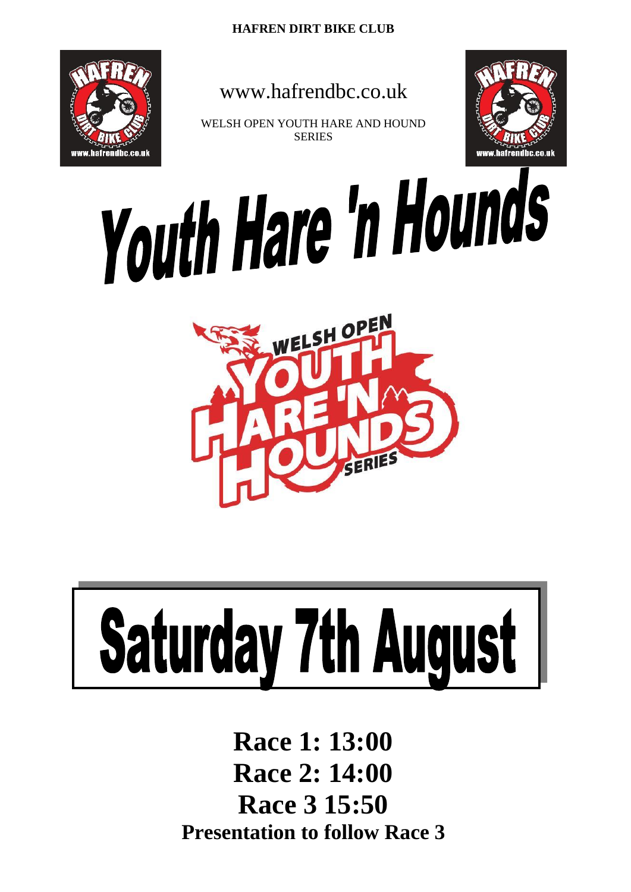

# www.hafrendbc.co.uk

WELSH OPEN YOUTH HARE AND HOUND **SERIES** 



Youth Hare 'n Hounds



# **Saturday 7th August**

**Race 1: 13:00 Race 2: 14:00 Race 3 15:50 Presentation to follow Race 3**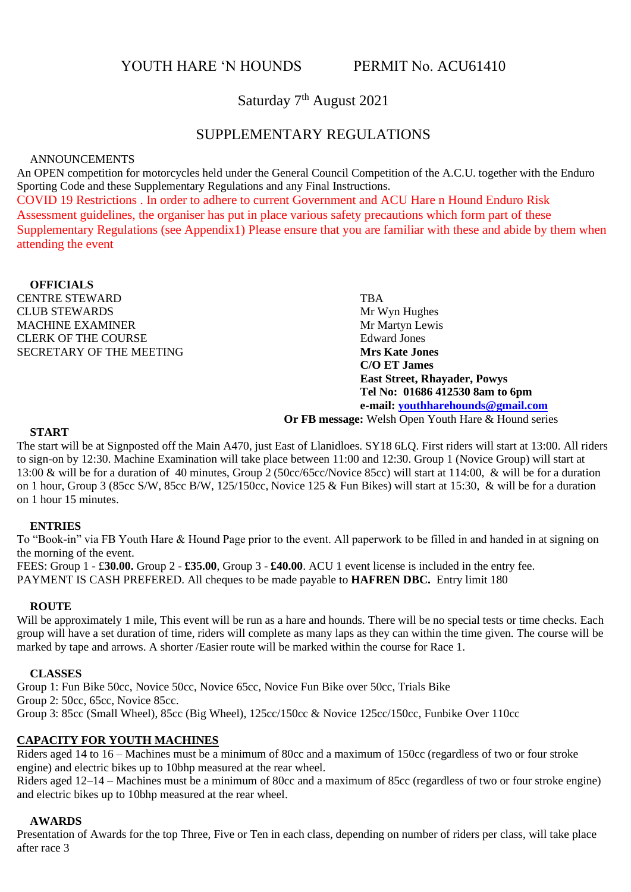YOUTH HARE 'N HOUNDS PERMIT No. ACU61410

Saturday 7<sup>th</sup> August 2021

# SUPPLEMENTARY REGULATIONS

## ANNOUNCEMENTS

An OPEN competition for motorcycles held under the General Council Competition of the A.C.U. together with the Enduro Sporting Code and these Supplementary Regulations and any Final Instructions. COVID 19 Restrictions . In order to adhere to current Government and ACU Hare n Hound Enduro Risk Assessment guidelines, the organiser has put in place various safety precautions which form part of these Supplementary Regulations (see Appendix1) Please ensure that you are familiar with these and abide by them when attending the event

## **OFFICIALS**

CENTRE STEWARD<br>CLUB STEWARDS Mr Wyn Hughes CLUB STEWARDS<br>
Mr Wyn Hughes<br>
Mr Martyn Lewis MACHINE EXAMINER CLERK OF THE COURSE EDWARD Edward Jones SECRETARY OF THE MEETING **Mrs Kate Jones**

**C/O ET James East Street, Rhayader, Powys Tel No: 01686 412530 8am to 6pm e-mail[: youthharehounds@gmail.com](mailto:youthharehounds@gmail.com)**

**Or FB message:** Welsh Open Youth Hare & Hound series

#### **START**

The start will be at Signposted off the Main A470, just East of Llanidloes. SY18 6LQ. First riders will start at 13:00. All riders to sign-on by 12:30. Machine Examination will take place between 11:00 and 12:30. Group 1 (Novice Group) will start at 13:00 & will be for a duration of 40 minutes, Group 2 (50cc/65cc/Novice 85cc) will start at 114:00, & will be for a duration on 1 hour, Group 3 (85cc S/W, 85cc B/W, 125/150cc, Novice 125 & Fun Bikes) will start at 15:30, & will be for a duration on 1 hour 15 minutes.

#### **ENTRIES**

To "Book-in" via FB Youth Hare & Hound Page prior to the event. All paperwork to be filled in and handed in at signing on the morning of the event.

FEES: Group 1 - £**30.00.** Group 2 - **£35.00**, Group 3 - **£40.00**. ACU 1 event license is included in the entry fee. PAYMENT IS CASH PREFERED. All cheques to be made payable to **HAFREN DBC.** Entry limit 180

#### **ROUTE**

Will be approximately 1 mile, This event will be run as a hare and hounds. There will be no special tests or time checks. Each group will have a set duration of time, riders will complete as many laps as they can within the time given. The course will be marked by tape and arrows. A shorter /Easier route will be marked within the course for Race 1.

#### **CLASSES**

Group 1: Fun Bike 50cc, Novice 50cc, Novice 65cc, Novice Fun Bike over 50cc, Trials Bike Group 2: 50cc, 65cc, Novice 85cc. Group 3: 85cc (Small Wheel), 85cc (Big Wheel), 125cc/150cc & Novice 125cc/150cc, Funbike Over 110cc

#### **CAPACITY FOR YOUTH MACHINES**

Riders aged 14 to 16 – Machines must be a minimum of 80cc and a maximum of 150cc (regardless of two or four stroke engine) and electric bikes up to 10bhp measured at the rear wheel.

Riders aged 12–14 – Machines must be a minimum of 80cc and a maximum of 85cc (regardless of two or four stroke engine) and electric bikes up to 10bhp measured at the rear wheel.

#### **AWARDS**

Presentation of Awards for the top Three, Five or Ten in each class, depending on number of riders per class, will take place after race 3